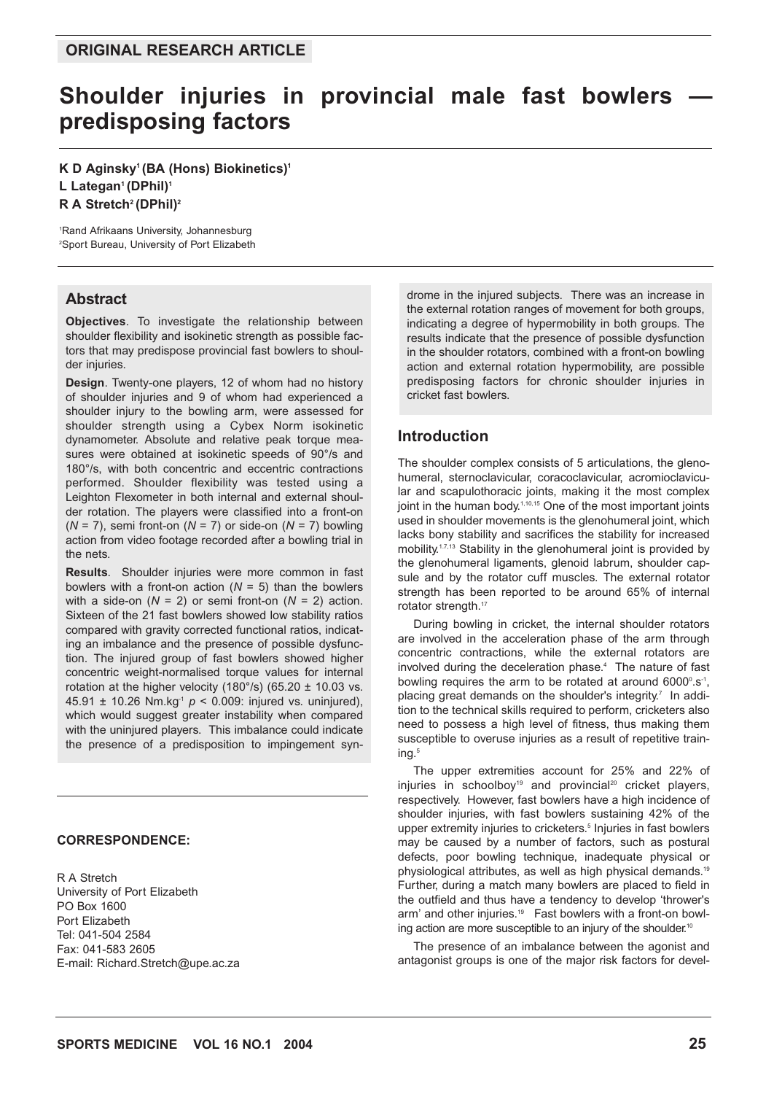# Shoulder injuries in provincial male fast bowlers **predisposing factors**

## **K D Aginsky1 (BA (Hons) Biokinetics)1** L Lategan<sup>1</sup> (DPhil)<sup>1</sup> R A Stretch<sup>2</sup> (DPhil)<sup>2</sup>

1 Rand Afrikaans University, Johannesburg 2 Sport Bureau, University of Port Elizabeth

#### **Abstract**

**Objectives**. To investigate the relationship between shoulder flexibility and isokinetic strength as possible factors that may predispose provincial fast bowlers to shoulder injuries.

**Design**. Twenty-one players, 12 of whom had no history of shoulder injuries and 9 of whom had experienced a shoulder injury to the bowling arm, were assessed for shoulder strength using a Cybex Norm isokinetic dynamometer. Absolute and relative peak torque measures were obtained at isokinetic speeds of 90°/s and 180°/s, with both concentric and eccentric contractions performed. Shoulder flexibility was tested using a Leighton Flexometer in both internal and external shoulder rotation. The players were classified into a front-on (*N* = 7), semi front-on (*N* = 7) or side-on (*N* = 7) bowling action from video footage recorded after a bowling trial in the nets.

**Results**. Shoulder injuries were more common in fast bowlers with a front-on action  $(N = 5)$  than the bowlers with a side-on  $(N = 2)$  or semi front-on  $(N = 2)$  action. Sixteen of the 21 fast bowlers showed low stability ratios compared with gravity corrected functional ratios, indicating an imbalance and the presence of possible dysfunction. The injured group of fast bowlers showed higher concentric weight-normalised torque values for internal rotation at the higher velocity (180 $\degree$ /s) (65.20 ± 10.03 vs. 45.91 ± 10.26 Nm.kg-1 *p* < 0.009: injured vs. uninjured), which would suggest greater instability when compared with the uninjured players. This imbalance could indicate the presence of a predisposition to impingement syn-

#### **CORRESPONDENCE:**

R A Stretch University of Port Elizabeth PO Box 1600 Port Elizabeth Tel: 041-504 2584 Fax: 041-583 2605 E-mail: Richard.Stretch@upe.ac.za drome in the injured subjects. There was an increase in the external rotation ranges of movement for both groups, indicating a degree of hypermobility in both groups. The results indicate that the presence of possible dysfunction in the shoulder rotators, combined with a front-on bowling action and external rotation hypermobility, are possible predisposing factors for chronic shoulder injuries in cricket fast bowlers.

## **Introduction**

The shoulder complex consists of 5 articulations, the glenohumeral, sternoclavicular, coracoclavicular, acromioclavicular and scapulothoracic joints, making it the most complex joint in the human body.<sup>1,10,15</sup> One of the most important joints used in shoulder movements is the glenohumeral joint, which lacks bony stability and sacrifices the stability for increased mobility.<sup>1.7,13</sup> Stability in the glenohumeral joint is provided by the glenohumeral ligaments, glenoid labrum, shoulder capsule and by the rotator cuff muscles. The external rotator strength has been reported to be around 65% of internal rotator strength.<sup>17</sup>

During bowling in cricket, the internal shoulder rotators are involved in the acceleration phase of the arm through concentric contractions, while the external rotators are involved during the deceleration phase.<sup>4</sup> The nature of fast bowling requires the arm to be rotated at around  $6000^\circ$ .s<sup>-1</sup>, placing great demands on the shoulder's integrity.<sup> $7$ </sup> In addition to the technical skills required to perform, cricketers also need to possess a high level of fitness, thus making them susceptible to overuse injuries as a result of repetitive training.<sup>5</sup>

The upper extremities account for 25% and 22% of injuries in schoolboy<sup>19</sup> and provincial<sup>20</sup> cricket players, respectively. However, fast bowlers have a high incidence of shoulder injuries, with fast bowlers sustaining 42% of the upper extremity injuries to cricketers.<sup>5</sup> Injuries in fast bowlers may be caused by a number of factors, such as postural defects, poor bowling technique, inadequate physical or physiological attributes, as well as high physical demands.19 Further, during a match many bowlers are placed to field in the outfield and thus have a tendency to develop 'thrower's arm' and other injuries.<sup>19</sup> Fast bowlers with a front-on bowling action are more susceptible to an injury of the shoulder.<sup>10</sup>

The presence of an imbalance between the agonist and antagonist groups is one of the major risk factors for devel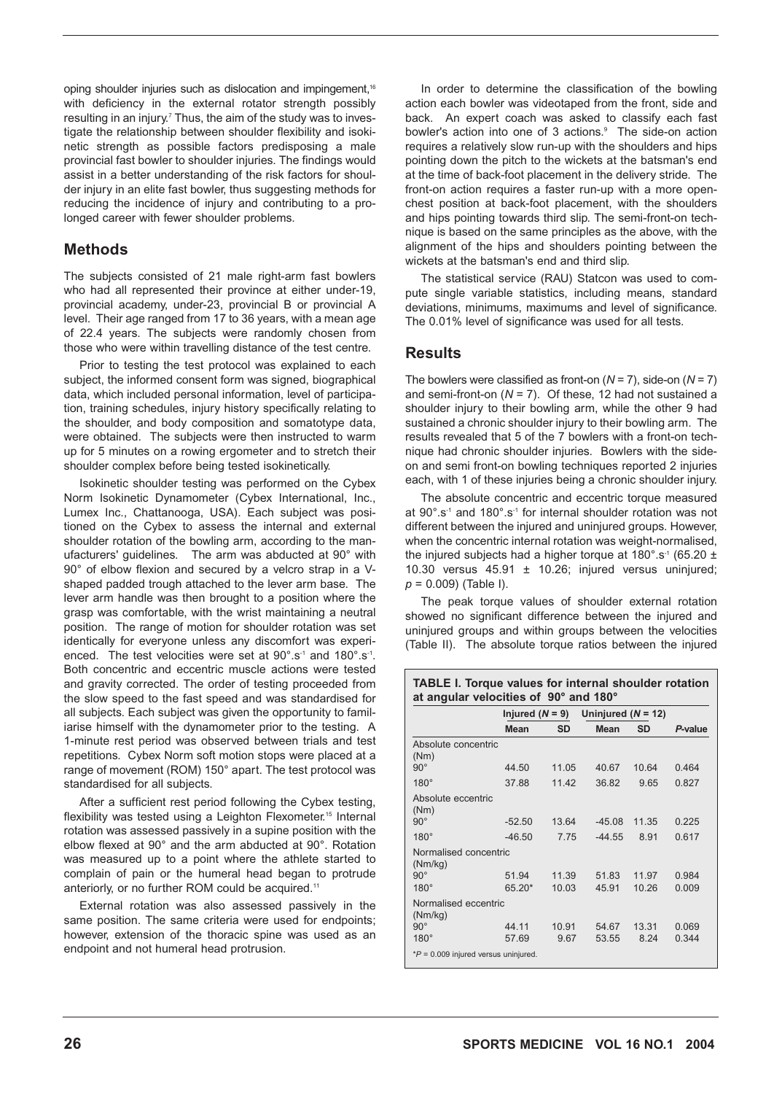oping shoulder injuries such as dislocation and impingement,<sup>16</sup> with deficiency in the external rotator strength possibly resulting in an injury.<sup>7</sup> Thus, the aim of the study was to investigate the relationship between shoulder flexibility and isokinetic strength as possible factors predisposing a male provincial fast bowler to shoulder injuries. The findings would assist in a better understanding of the risk factors for shoulder injury in an elite fast bowler, thus suggesting methods for reducing the incidence of injury and contributing to a prolonged career with fewer shoulder problems.

## **Methods**

The subjects consisted of 21 male right-arm fast bowlers who had all represented their province at either under-19, provincial academy, under-23, provincial B or provincial A level. Their age ranged from 17 to 36 years, with a mean age of 22.4 years. The subjects were randomly chosen from those who were within travelling distance of the test centre.

Prior to testing the test protocol was explained to each subject, the informed consent form was signed, biographical data, which included personal information, level of participation, training schedules, injury history specifically relating to the shoulder, and body composition and somatotype data, were obtained. The subjects were then instructed to warm up for 5 minutes on a rowing ergometer and to stretch their shoulder complex before being tested isokinetically.

Isokinetic shoulder testing was performed on the Cybex Norm Isokinetic Dynamometer (Cybex International, Inc., Lumex Inc., Chattanooga, USA). Each subject was positioned on the Cybex to assess the internal and external shoulder rotation of the bowling arm, according to the manufacturers' guidelines. The arm was abducted at 90° with 90° of elbow flexion and secured by a velcro strap in a Vshaped padded trough attached to the lever arm base. The lever arm handle was then brought to a position where the grasp was comfortable, with the wrist maintaining a neutral position. The range of motion for shoulder rotation was set identically for everyone unless any discomfort was experienced. The test velocities were set at 90°.s<sup>-1</sup> and 180°.s<sup>-1</sup>. Both concentric and eccentric muscle actions were tested and gravity corrected. The order of testing proceeded from the slow speed to the fast speed and was standardised for all subjects. Each subject was given the opportunity to familiarise himself with the dynamometer prior to the testing. A 1-minute rest period was observed between trials and test repetitions. Cybex Norm soft motion stops were placed at a range of movement (ROM) 150° apart. The test protocol was standardised for all subjects.

After a sufficient rest period following the Cybex testing, flexibility was tested using a Leighton Flexometer.<sup>15</sup> Internal rotation was assessed passively in a supine position with the elbow flexed at 90° and the arm abducted at 90°. Rotation was measured up to a point where the athlete started to complain of pain or the humeral head began to protrude anteriorly, or no further ROM could be acquired.<sup>11</sup>

External rotation was also assessed passively in the same position. The same criteria were used for endpoints; however, extension of the thoracic spine was used as an endpoint and not humeral head protrusion.

In order to determine the classification of the bowling action each bowler was videotaped from the front, side and back. An expert coach was asked to classify each fast bowler's action into one of 3 actions.<sup>9</sup> The side-on action requires a relatively slow run-up with the shoulders and hips pointing down the pitch to the wickets at the batsman's end at the time of back-foot placement in the delivery stride. The front-on action requires a faster run-up with a more openchest position at back-foot placement, with the shoulders and hips pointing towards third slip. The semi-front-on technique is based on the same principles as the above, with the alignment of the hips and shoulders pointing between the wickets at the batsman's end and third slip.

The statistical service (RAU) Statcon was used to compute single variable statistics, including means, standard deviations, minimums, maximums and level of significance. The 0.01% level of significance was used for all tests.

## **Results**

The bowlers were classified as front-on (*N* = 7), side-on (*N* = 7) and semi-front-on (*N* = 7). Of these, 12 had not sustained a shoulder injury to their bowling arm, while the other 9 had sustained a chronic shoulder injury to their bowling arm. The results revealed that 5 of the 7 bowlers with a front-on technique had chronic shoulder injuries. Bowlers with the sideon and semi front-on bowling techniques reported 2 injuries each, with 1 of these injuries being a chronic shoulder injury.

The absolute concentric and eccentric torque measured at 90°.s-1 and 180°.s-1 for internal shoulder rotation was not different between the injured and uninjured groups. However, when the concentric internal rotation was weight-normalised, the injured subjects had a higher torque at  $180^\circ$ .s<sup>-1</sup> (65.20 ± 10.30 versus  $45.91 \pm 10.26$ ; injured versus uninjured; *p* = 0.009) (Table I).

The peak torque values of shoulder external rotation showed no significant difference between the injured and uninjured groups and within groups between the velocities (Table II). The absolute torque ratios between the injured

| <b>TABLE I. Torque values for internal shoulder rotation</b><br>at angular velocities of 90° and 180° |                   |           |                      |       |         |  |
|-------------------------------------------------------------------------------------------------------|-------------------|-----------|----------------------|-------|---------|--|
|                                                                                                       | Injured $(N = 9)$ |           | Uninjured $(N = 12)$ |       |         |  |
|                                                                                                       | Mean              | <b>SD</b> | <b>Mean</b>          | SD    | P-value |  |
| Absolute concentric<br>(Nm)                                                                           |                   |           |                      |       |         |  |
| $90^\circ$                                                                                            | 44.50             | 11.05     | 40.67                | 10.64 | 0.464   |  |
| $180^\circ$                                                                                           | 37.88             | 11 42     | 36.82                | 9.65  | 0.827   |  |
| Absolute eccentric<br>(Nm)                                                                            |                   |           |                      |       |         |  |
| $90^\circ$                                                                                            | $-52.50$          | 1364      | $-45.08$             | 11 35 | 0.225   |  |
| $180^\circ$                                                                                           | $-46.50$          | 775       | $-44.55$             | 8.91  | 0.617   |  |
| Normalised concentric<br>(Nm/kg)                                                                      |                   |           |                      |       |         |  |
| $90^\circ$                                                                                            | 51.94             | 11 39     | 51 83                | 11 97 | 0.984   |  |
| $180^\circ$                                                                                           | $65.20*$          | 10.03     | 45.91                | 10.26 | 0.009   |  |
| Normalised eccentric<br>(Nm/kg)                                                                       |                   |           |                      |       |         |  |
| $90^\circ$                                                                                            | 44 11             | 10.91     | 54 67                | 13 31 | 0.069   |  |
| $180^\circ$                                                                                           | 57.69             | 9.67      | 53.55                | 8.24  | 0.344   |  |
| $*P = 0.009$ injured versus uninjured.                                                                |                   |           |                      |       |         |  |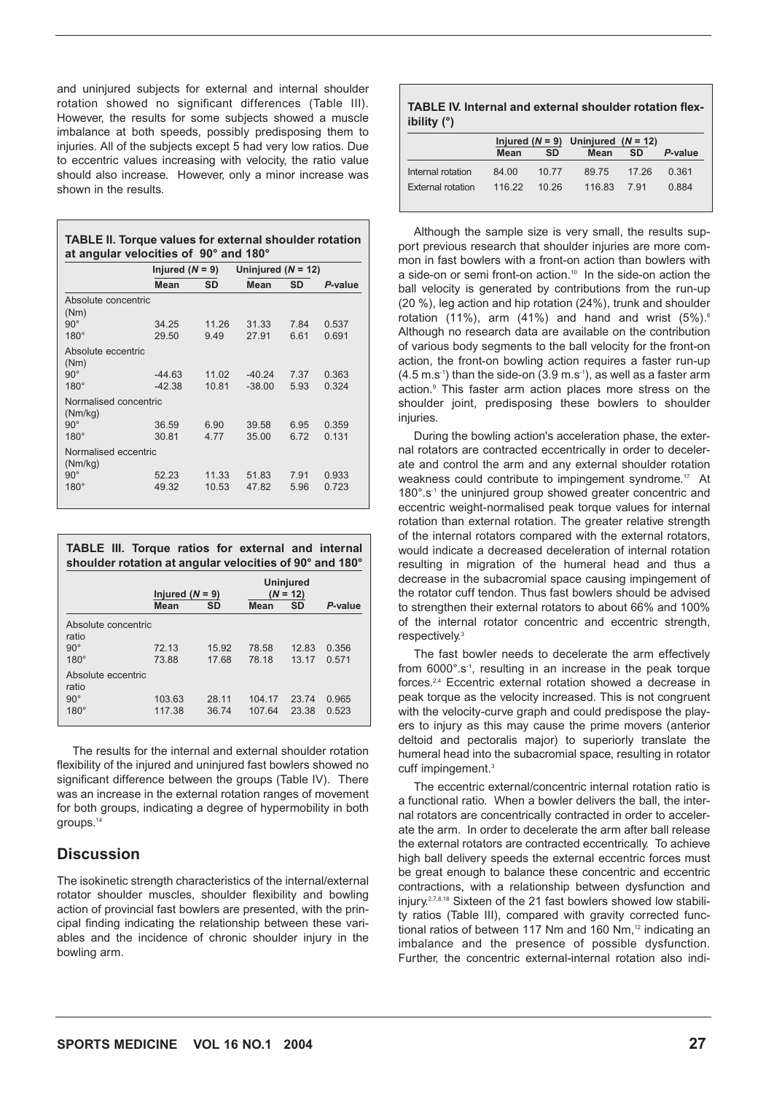and uninjured subjects for external and internal shoulder rotation showed no significant differences (Table III). However, the results for some subjects showed a muscle imbalance at both speeds, possibly predisposing them to injuries. All of the subjects except 5 had very low ratios. Due to eccentric values increasing with velocity, the ratio value should also increase. However, only a minor increase was shown in the results.

| <b>TABLE II. Torque values for external shoulder rotation</b> |  |
|---------------------------------------------------------------|--|
| at angular velocities of 90° and 180°                         |  |

|                                  | Injured $(N = 9)$    |                | Uninjured $(N = 12)$ |              |                |  |
|----------------------------------|----------------------|----------------|----------------------|--------------|----------------|--|
|                                  | Mean                 | <b>SD</b>      | Mean                 | SD           | P-value        |  |
| Absolute concentric<br>(Nm)      |                      |                |                      |              |                |  |
| $90^\circ$<br>$180^\circ$        | 34.25<br>29.50       | 11.26<br>9.49  | 31.33<br>27.91       | 7.84<br>6.61 | 0.537<br>0.691 |  |
| Absolute eccentric<br>(Nm)       |                      |                |                      |              |                |  |
| $90^\circ$<br>$180^\circ$        | $-44.63$<br>$-42.38$ | 11.02<br>10.81 | $-40.24$<br>$-38.00$ | 7.37<br>5.93 | 0.363<br>0.324 |  |
| Normalised concentric<br>(Nm/kg) |                      |                |                      |              |                |  |
| $90^\circ$<br>$180^\circ$        | 36.59<br>30.81       | 6.90<br>4.77   | 39.58<br>35.00       | 6.95<br>6.72 | 0.359<br>0.131 |  |
| Normalised eccentric<br>(Nm/kg)  |                      |                |                      |              |                |  |
| $90^\circ$<br>$180^\circ$        | 52.23<br>49.32       | 11.33<br>10.53 | 51.83<br>47.82       | 7.91<br>5.96 | 0.933<br>0.723 |  |

| <b>TABLE III. Torque ratios for external and internal</b><br>shoulder rotation at angular velocities of 90° and 180° |                   |                |                         |                |                |
|----------------------------------------------------------------------------------------------------------------------|-------------------|----------------|-------------------------|----------------|----------------|
|                                                                                                                      | Injured $(N = 9)$ |                | Uninjured<br>$(N = 12)$ |                |                |
|                                                                                                                      | Mean              | SD             | <b>Mean</b>             | <b>SD</b>      | P-value        |
| Absolute concentric<br>ratio<br>$90^\circ$                                                                           | 72.13             | 15.92          | 78.58                   | 12.83          | 0.356          |
| $180^\circ$                                                                                                          | 7388              | 1768           | 78 18                   | 13 17          | 0.571          |
| Absolute eccentric<br>ratio<br>$90^\circ$<br>$180^\circ$                                                             | 103.63<br>117.38  | 28 11<br>36.74 | 104 17<br>107 64        | 23.74<br>23.38 | 0.965<br>0.523 |

The results for the internal and external shoulder rotation flexibility of the injured and uninjured fast bowlers showed no significant difference between the groups (Table IV). There was an increase in the external rotation ranges of movement for both groups, indicating a degree of hypermobility in both groups.14

## **Discussion**

The isokinetic strength characteristics of the internal/external rotator shoulder muscles, shoulder flexibility and bowling action of provincial fast bowlers are presented, with the principal finding indicating the relationship between these variables and the incidence of chronic shoulder injury in the bowling arm.

#### **TABLE IV. Internal and external shoulder rotation flexibility (°)**

|                          | Injured ( $N = 9$ ) Uninjured ( $N = 12$ ) |           |        |           |         |
|--------------------------|--------------------------------------------|-----------|--------|-----------|---------|
|                          | <b>Mean</b>                                | <b>SD</b> | Mean   | <b>SD</b> | P-value |
| Internal rotation        | 84.00                                      | 10.77     | 89.75  | 17 26     | 0.361   |
| <b>External rotation</b> | 116 22                                     | 10.26     | 116.83 | 791       | 0.884   |

Although the sample size is very small, the results support previous research that shoulder injuries are more common in fast bowlers with a front-on action than bowlers with a side-on or semi front-on action.<sup>10</sup> In the side-on action the ball velocity is generated by contributions from the run-up (20 %), leg action and hip rotation (24%), trunk and shoulder rotation (11%), arm (41%) and hand and wrist  $(5\%)$ .<sup>6</sup> Although no research data are available on the contribution of various body segments to the ball velocity for the front-on action, the front-on bowling action requires a faster run-up  $(4.5 \text{ m.s}^{-1})$  than the side-on  $(3.9 \text{ m.s}^{-1})$ , as well as a faster arm action.9 This faster arm action places more stress on the shoulder joint, predisposing these bowlers to shoulder injuries.

During the bowling action's acceleration phase, the external rotators are contracted eccentrically in order to decelerate and control the arm and any external shoulder rotation weakness could contribute to impingement syndrome.<sup>17</sup> At 180°.s-1 the uninjured group showed greater concentric and eccentric weight-normalised peak torque values for internal rotation than external rotation. The greater relative strength of the internal rotators compared with the external rotators, would indicate a decreased deceleration of internal rotation resulting in migration of the humeral head and thus a decrease in the subacromial space causing impingement of the rotator cuff tendon. Thus fast bowlers should be advised to strengthen their external rotators to about 66% and 100% of the internal rotator concentric and eccentric strength, respectively.<sup>3</sup>

The fast bowler needs to decelerate the arm effectively from 6000°.s-1, resulting in an increase in the peak torque forces.2,4 Eccentric external rotation showed a decrease in peak torque as the velocity increased. This is not congruent with the velocity-curve graph and could predispose the players to injury as this may cause the prime movers (anterior deltoid and pectoralis major) to superiorly translate the humeral head into the subacromial space, resulting in rotator cuff impingement.<sup>3</sup>

The eccentric external/concentric internal rotation ratio is a functional ratio. When a bowler delivers the ball, the internal rotators are concentrically contracted in order to accelerate the arm. In order to decelerate the arm after ball release the external rotators are contracted eccentrically. To achieve high ball delivery speeds the external eccentric forces must be great enough to balance these concentric and eccentric contractions, with a relationship between dysfunction and injury.<sup>2,7,8,18</sup> Sixteen of the 21 fast bowlers showed low stability ratios (Table III), compared with gravity corrected functional ratios of between 117 Nm and 160 Nm, $12$  indicating an imbalance and the presence of possible dysfunction. Further, the concentric external-internal rotation also indi-